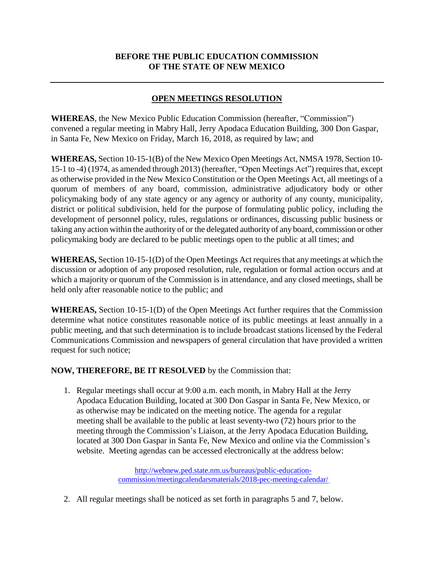## **BEFORE THE PUBLIC EDUCATION COMMISSION OF THE STATE OF NEW MEXICO**

## **OPEN MEETINGS RESOLUTION**

**WHEREAS**, the New Mexico Public Education Commission (hereafter, "Commission") convened a regular meeting in Mabry Hall, Jerry Apodaca Education Building, 300 Don Gaspar, in Santa Fe, New Mexico on Friday, March 16, 2018, as required by law; and

**WHEREAS,** Section 10-15-1(B) of the New Mexico Open Meetings Act, NMSA 1978, Section 10- 15-1 to -4) (1974, as amended through 2013) (hereafter, "Open Meetings Act") requiresthat, except as otherwise provided in the New Mexico Constitution or the Open Meetings Act, all meetings of a quorum of members of any board, commission, administrative adjudicatory body or other policymaking body of any state agency or any agency or authority of any county, municipality, district or political subdivision, held for the purpose of formulating public policy, including the development of personnel policy, rules, regulations or ordinances, discussing public business or taking any action within the authority of or the delegated authority of any board, commission or other policymaking body are declared to be public meetings open to the public at all times; and

**WHEREAS,** Section 10-15-1(D) of the Open Meetings Act requires that any meetings at which the discussion or adoption of any proposed resolution, rule, regulation or formal action occurs and at which a majority or quorum of the Commission is in attendance, and any closed meetings, shall be held only after reasonable notice to the public; and

**WHEREAS,** Section 10-15-1(D) of the Open Meetings Act further requires that the Commission determine what notice constitutes reasonable notice of its public meetings at least annually in a public meeting, and that such determination is to include broadcast stations licensed by the Federal Communications Commission and newspapers of general circulation that have provided a written request for such notice;

## **NOW, THEREFORE, BE IT RESOLVED** by the Commission that:

1. Regular meetings shall occur at 9:00 a.m. each month, in Mabry Hall at the Jerry Apodaca Education Building, located at 300 Don Gaspar in Santa Fe, New Mexico, or as otherwise may be indicated on the meeting notice. The agenda for a regular meeting shall be available to the public at least seventy-two (72) hours prior to the meeting through the Commission's Liaison, at the Jerry Apodaca Education Building, located at 300 Don Gaspar in Santa Fe, New Mexico and online via the Commission's website. Meeting agendas can be accessed electronically at the address below:

> [http://webnew.ped.state.nm.us/bureaus/public-education](http://webnew.ped.state.nm.us/bureaus/public-education-commission/meetingcalendarsmaterials/2018-pec-meeting-calendar/)[commission/meetingcalendarsmaterials/2018-pec-meeting-calendar/](http://webnew.ped.state.nm.us/bureaus/public-education-commission/meetingcalendarsmaterials/2018-pec-meeting-calendar/)

2. All regular meetings shall be noticed as set forth in paragraphs 5 and 7, below.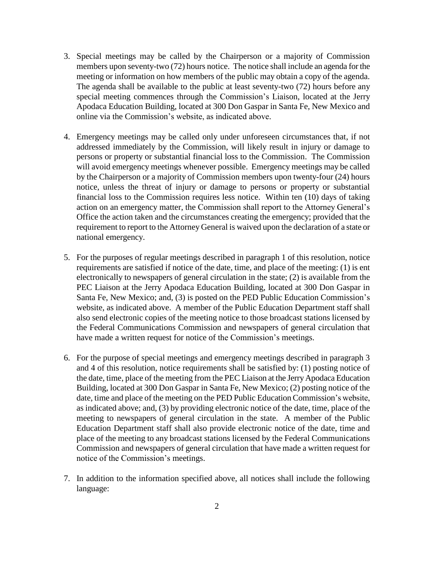- 3. Special meetings may be called by the Chairperson or a majority of Commission members upon seventy-two (72) hours notice. The notice shall include an agenda for the meeting or information on how members of the public may obtain a copy of the agenda. The agenda shall be available to the public at least seventy-two (72) hours before any special meeting commences through the Commission's Liaison, located at the Jerry Apodaca Education Building, located at 300 Don Gaspar in Santa Fe, New Mexico and online via the Commission's website, as indicated above.
- 4. Emergency meetings may be called only under unforeseen circumstances that, if not addressed immediately by the Commission, will likely result in injury or damage to persons or property or substantial financial loss to the Commission. The Commission will avoid emergency meetings whenever possible. Emergency meetings may be called by the Chairperson or a majority of Commission members upon twenty-four (24) hours notice, unless the threat of injury or damage to persons or property or substantial financial loss to the Commission requires less notice. Within ten (10) days of taking action on an emergency matter, the Commission shall report to the Attorney General's Office the action taken and the circumstances creating the emergency; provided that the requirement to report to the Attorney General is waived upon the declaration of a state or national emergency.
- 5. For the purposes of regular meetings described in paragraph 1 of this resolution, notice requirements are satisfied if notice of the date, time, and place of the meeting: (1) is ent electronically to newspapers of general circulation in the state; (2) is available from the PEC Liaison at the Jerry Apodaca Education Building, located at 300 Don Gaspar in Santa Fe, New Mexico; and, (3) is posted on the PED Public Education Commission's website, as indicated above. A member of the Public Education Department staff shall also send electronic copies of the meeting notice to those broadcast stations licensed by the Federal Communications Commission and newspapers of general circulation that have made a written request for notice of the Commission's meetings.
- 6. For the purpose of special meetings and emergency meetings described in paragraph 3 and 4 of this resolution, notice requirements shall be satisfied by: (1) posting notice of the date, time, place of the meeting from the PEC Liaison at the Jerry Apodaca Education Building, located at 300 Don Gaspar in Santa Fe, New Mexico; (2) posting notice of the date, time and place of the meeting on the PED Public Education Commission's website, as indicated above; and, (3) by providing electronic notice of the date, time, place of the meeting to newspapers of general circulation in the state. A member of the Public Education Department staff shall also provide electronic notice of the date, time and place of the meeting to any broadcast stations licensed by the Federal Communications Commission and newspapers of general circulation that have made a written request for notice of the Commission's meetings.
- 7. In addition to the information specified above, all notices shall include the following language: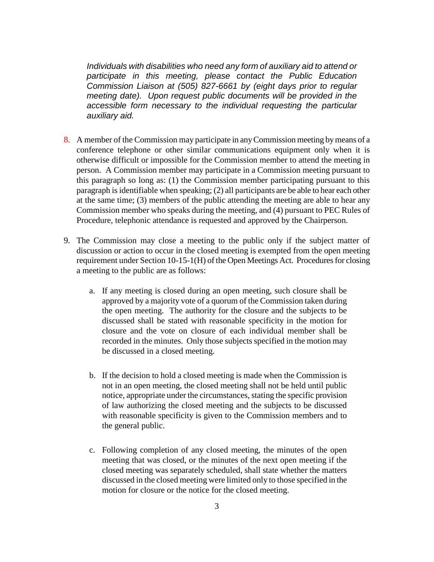*Individuals with disabilities who need any form of auxiliary aid to attend or participate in this meeting, please contact the Public Education Commission Liaison at (505) 827-6661 by (eight days prior to regular meeting date). Upon request public documents will be provided in the accessible form necessary to the individual requesting the particular auxiliary aid.*

- 8. A member of the Commission may participate in any Commission meeting by means of a conference telephone or other similar communications equipment only when it is otherwise difficult or impossible for the Commission member to attend the meeting in person. A Commission member may participate in a Commission meeting pursuant to this paragraph so long as: (1) the Commission member participating pursuant to this paragraph is identifiable when speaking; (2) all participants are be able to hear each other at the same time; (3) members of the public attending the meeting are able to hear any Commission member who speaks during the meeting, and (4) pursuant to PEC Rules of Procedure, telephonic attendance is requested and approved by the Chairperson.
- 9. The Commission may close a meeting to the public only if the subject matter of discussion or action to occur in the closed meeting is exempted from the open meeting requirement under Section 10-15-1(H) of the Open Meetings Act. Procedures for closing a meeting to the public are as follows:
	- a. If any meeting is closed during an open meeting, such closure shall be approved by a majority vote of a quorum of the Commission taken during the open meeting. The authority for the closure and the subjects to be discussed shall be stated with reasonable specificity in the motion for closure and the vote on closure of each individual member shall be recorded in the minutes. Only those subjects specified in the motion may be discussed in a closed meeting.
	- b. If the decision to hold a closed meeting is made when the Commission is not in an open meeting, the closed meeting shall not be held until public notice, appropriate under the circumstances, stating the specific provision of law authorizing the closed meeting and the subjects to be discussed with reasonable specificity is given to the Commission members and to the general public.
	- c. Following completion of any closed meeting, the minutes of the open meeting that was closed, or the minutes of the next open meeting if the closed meeting was separately scheduled, shall state whether the matters discussed in the closed meeting were limited only to those specified in the motion for closure or the notice for the closed meeting.